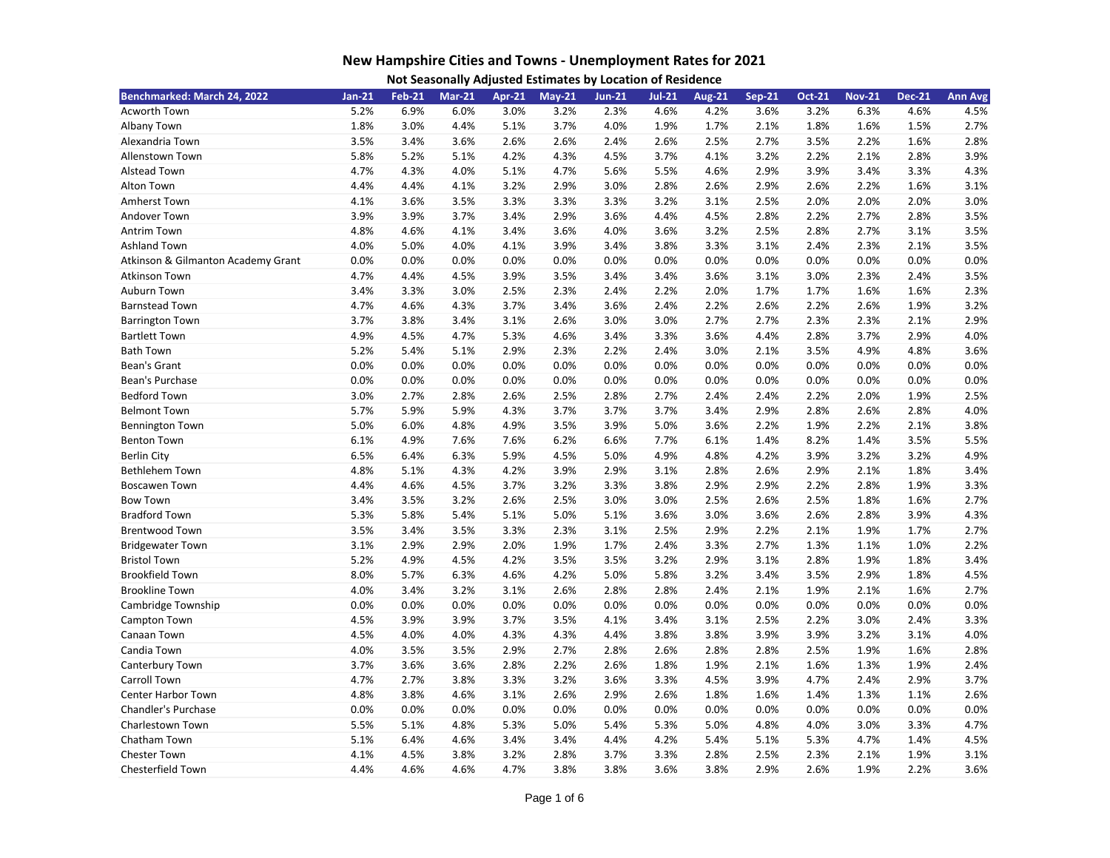| Benchmarked: March 24, 2022        | $Jan-21$ | <b>Feb-21</b> | <b>Mar-21</b> | Apr-21 | $May-21$ | <b>Jun-21</b> | $Jul-21$ | <b>Aug-21</b> | <b>Sep-21</b> | <b>Oct-21</b> | <b>Nov-21</b> | <b>Dec-21</b> | <b>Ann Avg</b> |
|------------------------------------|----------|---------------|---------------|--------|----------|---------------|----------|---------------|---------------|---------------|---------------|---------------|----------------|
| Acworth Town                       | 5.2%     | 6.9%          | 6.0%          | 3.0%   | 3.2%     | 2.3%          | 4.6%     | 4.2%          | 3.6%          | 3.2%          | 6.3%          | 4.6%          | 4.5%           |
| Albany Town                        | 1.8%     | 3.0%          | 4.4%          | 5.1%   | 3.7%     | 4.0%          | 1.9%     | 1.7%          | 2.1%          | 1.8%          | 1.6%          | 1.5%          | 2.7%           |
| Alexandria Town                    | 3.5%     | 3.4%          | 3.6%          | 2.6%   | 2.6%     | 2.4%          | 2.6%     | 2.5%          | 2.7%          | 3.5%          | 2.2%          | 1.6%          | 2.8%           |
| Allenstown Town                    | 5.8%     | 5.2%          | 5.1%          | 4.2%   | 4.3%     | 4.5%          | 3.7%     | 4.1%          | 3.2%          | 2.2%          | 2.1%          | 2.8%          | 3.9%           |
| Alstead Town                       | 4.7%     | 4.3%          | 4.0%          | 5.1%   | 4.7%     | 5.6%          | 5.5%     | 4.6%          | 2.9%          | 3.9%          | 3.4%          | 3.3%          | 4.3%           |
| Alton Town                         | 4.4%     | 4.4%          | 4.1%          | 3.2%   | 2.9%     | 3.0%          | 2.8%     | 2.6%          | 2.9%          | 2.6%          | 2.2%          | 1.6%          | 3.1%           |
| Amherst Town                       | 4.1%     | 3.6%          | 3.5%          | 3.3%   | 3.3%     | 3.3%          | 3.2%     | 3.1%          | 2.5%          | 2.0%          | 2.0%          | 2.0%          | 3.0%           |
| Andover Town                       | 3.9%     | 3.9%          | 3.7%          | 3.4%   | 2.9%     | 3.6%          | 4.4%     | 4.5%          | 2.8%          | 2.2%          | 2.7%          | 2.8%          | 3.5%           |
| <b>Antrim Town</b>                 | 4.8%     | 4.6%          | 4.1%          | 3.4%   | 3.6%     | 4.0%          | 3.6%     | 3.2%          | 2.5%          | 2.8%          | 2.7%          | 3.1%          | 3.5%           |
| <b>Ashland Town</b>                | 4.0%     | 5.0%          | 4.0%          | 4.1%   | 3.9%     | 3.4%          | 3.8%     | 3.3%          | 3.1%          | 2.4%          | 2.3%          | 2.1%          | 3.5%           |
| Atkinson & Gilmanton Academy Grant | 0.0%     | 0.0%          | 0.0%          | 0.0%   | 0.0%     | 0.0%          | 0.0%     | 0.0%          | 0.0%          | 0.0%          | 0.0%          | 0.0%          | 0.0%           |
| <b>Atkinson Town</b>               | 4.7%     | 4.4%          | 4.5%          | 3.9%   | 3.5%     | 3.4%          | 3.4%     | 3.6%          | 3.1%          | 3.0%          | 2.3%          | 2.4%          | 3.5%           |
| Auburn Town                        | 3.4%     | 3.3%          | 3.0%          | 2.5%   | 2.3%     | 2.4%          | 2.2%     | 2.0%          | 1.7%          | 1.7%          | 1.6%          | 1.6%          | 2.3%           |
| <b>Barnstead Town</b>              | 4.7%     | 4.6%          | 4.3%          | 3.7%   | 3.4%     | 3.6%          | 2.4%     | 2.2%          | 2.6%          | 2.2%          | 2.6%          | 1.9%          | 3.2%           |
| <b>Barrington Town</b>             | 3.7%     | 3.8%          | 3.4%          | 3.1%   | 2.6%     | 3.0%          | 3.0%     | 2.7%          | 2.7%          | 2.3%          | 2.3%          | 2.1%          | 2.9%           |
| <b>Bartlett Town</b>               | 4.9%     | 4.5%          | 4.7%          | 5.3%   | 4.6%     | 3.4%          | 3.3%     | 3.6%          | 4.4%          | 2.8%          | 3.7%          | 2.9%          | 4.0%           |
| <b>Bath Town</b>                   | 5.2%     | 5.4%          | 5.1%          | 2.9%   | 2.3%     | 2.2%          | 2.4%     | 3.0%          | 2.1%          | 3.5%          | 4.9%          | 4.8%          | 3.6%           |
| Bean's Grant                       | 0.0%     | 0.0%          | 0.0%          | 0.0%   | 0.0%     | 0.0%          | 0.0%     | 0.0%          | 0.0%          | 0.0%          | 0.0%          | 0.0%          | 0.0%           |
| Bean's Purchase                    | 0.0%     | 0.0%          | 0.0%          | 0.0%   | 0.0%     | 0.0%          | 0.0%     | 0.0%          | 0.0%          | 0.0%          | 0.0%          | 0.0%          | 0.0%           |
| <b>Bedford Town</b>                | 3.0%     | 2.7%          | 2.8%          | 2.6%   | 2.5%     | 2.8%          | 2.7%     | 2.4%          | 2.4%          | 2.2%          | 2.0%          | 1.9%          | 2.5%           |
| <b>Belmont Town</b>                | 5.7%     | 5.9%          | 5.9%          | 4.3%   | 3.7%     | 3.7%          | 3.7%     | 3.4%          | 2.9%          | 2.8%          | 2.6%          | 2.8%          | 4.0%           |
| <b>Bennington Town</b>             | 5.0%     | 6.0%          | 4.8%          | 4.9%   | 3.5%     | 3.9%          | 5.0%     | 3.6%          | 2.2%          | 1.9%          | 2.2%          | 2.1%          | 3.8%           |
| <b>Benton Town</b>                 | 6.1%     | 4.9%          | 7.6%          | 7.6%   | 6.2%     | 6.6%          | 7.7%     | 6.1%          | 1.4%          | 8.2%          | 1.4%          | 3.5%          | 5.5%           |
| <b>Berlin City</b>                 | 6.5%     | 6.4%          | 6.3%          | 5.9%   | 4.5%     | 5.0%          | 4.9%     | 4.8%          | 4.2%          | 3.9%          | 3.2%          | 3.2%          | 4.9%           |
| <b>Bethlehem Town</b>              | 4.8%     | 5.1%          | 4.3%          | 4.2%   | 3.9%     | 2.9%          | 3.1%     | 2.8%          | 2.6%          | 2.9%          | 2.1%          | 1.8%          | 3.4%           |
| <b>Boscawen Town</b>               | 4.4%     | 4.6%          | 4.5%          | 3.7%   | 3.2%     | 3.3%          | 3.8%     | 2.9%          | 2.9%          | 2.2%          | 2.8%          | 1.9%          | 3.3%           |
| <b>Bow Town</b>                    | 3.4%     | 3.5%          | 3.2%          | 2.6%   | 2.5%     | 3.0%          | 3.0%     | 2.5%          | 2.6%          | 2.5%          | 1.8%          | 1.6%          | 2.7%           |
| <b>Bradford Town</b>               | 5.3%     | 5.8%          | 5.4%          | 5.1%   | 5.0%     | 5.1%          | 3.6%     | 3.0%          | 3.6%          | 2.6%          | 2.8%          | 3.9%          | 4.3%           |
| <b>Brentwood Town</b>              | 3.5%     | 3.4%          | 3.5%          | 3.3%   | 2.3%     | 3.1%          | 2.5%     | 2.9%          | 2.2%          | 2.1%          | 1.9%          | 1.7%          | 2.7%           |
| <b>Bridgewater Town</b>            | 3.1%     | 2.9%          | 2.9%          | 2.0%   | 1.9%     | 1.7%          | 2.4%     | 3.3%          | 2.7%          | 1.3%          | 1.1%          | 1.0%          | 2.2%           |
| <b>Bristol Town</b>                | 5.2%     | 4.9%          | 4.5%          | 4.2%   | 3.5%     | 3.5%          | 3.2%     | 2.9%          | 3.1%          | 2.8%          | 1.9%          | 1.8%          | 3.4%           |
| <b>Brookfield Town</b>             | 8.0%     | 5.7%          | 6.3%          | 4.6%   | 4.2%     | 5.0%          | 5.8%     | 3.2%          | 3.4%          | 3.5%          | 2.9%          | 1.8%          | 4.5%           |
| <b>Brookline Town</b>              | 4.0%     | 3.4%          | 3.2%          | 3.1%   | 2.6%     | 2.8%          | 2.8%     | 2.4%          | 2.1%          | 1.9%          | 2.1%          | 1.6%          | 2.7%           |
| Cambridge Township                 | 0.0%     | 0.0%          | 0.0%          | 0.0%   | 0.0%     | 0.0%          | 0.0%     | 0.0%          | 0.0%          | 0.0%          | 0.0%          | 0.0%          | 0.0%           |
| Campton Town                       | 4.5%     | 3.9%          | 3.9%          | 3.7%   | 3.5%     | 4.1%          | 3.4%     | 3.1%          | 2.5%          | 2.2%          | 3.0%          | 2.4%          | 3.3%           |
| Canaan Town                        | 4.5%     | 4.0%          | 4.0%          | 4.3%   | 4.3%     | 4.4%          | 3.8%     | 3.8%          | 3.9%          | 3.9%          | 3.2%          | 3.1%          | 4.0%           |
| Candia Town                        | 4.0%     | 3.5%          | 3.5%          | 2.9%   | 2.7%     | 2.8%          | 2.6%     | 2.8%          | 2.8%          | 2.5%          | 1.9%          | 1.6%          | 2.8%           |
| Canterbury Town                    | 3.7%     | 3.6%          | 3.6%          | 2.8%   | 2.2%     | 2.6%          | 1.8%     | 1.9%          | 2.1%          | 1.6%          | 1.3%          | 1.9%          | 2.4%           |
| Carroll Town                       | 4.7%     | 2.7%          | 3.8%          | 3.3%   | 3.2%     | 3.6%          | 3.3%     | 4.5%          | 3.9%          | 4.7%          | 2.4%          | 2.9%          | 3.7%           |
| Center Harbor Town                 | 4.8%     | 3.8%          | 4.6%          | 3.1%   | 2.6%     | 2.9%          | 2.6%     | 1.8%          | 1.6%          | 1.4%          | 1.3%          | 1.1%          | 2.6%           |
| <b>Chandler's Purchase</b>         | 0.0%     | 0.0%          | 0.0%          | 0.0%   | 0.0%     | 0.0%          | 0.0%     | 0.0%          | 0.0%          | 0.0%          | 0.0%          | 0.0%          | 0.0%           |
| Charlestown Town                   | 5.5%     | 5.1%          | 4.8%          | 5.3%   | 5.0%     | 5.4%          | 5.3%     | 5.0%          | 4.8%          | 4.0%          | 3.0%          | 3.3%          | 4.7%           |
| Chatham Town                       | 5.1%     | 6.4%          | 4.6%          | 3.4%   | 3.4%     | 4.4%          | 4.2%     | 5.4%          | 5.1%          | 5.3%          | 4.7%          | 1.4%          | 4.5%           |
| Chester Town                       | 4.1%     | 4.5%          | 3.8%          | 3.2%   | 2.8%     | 3.7%          | 3.3%     | 2.8%          | 2.5%          | 2.3%          | 2.1%          | 1.9%          | 3.1%           |
| Chesterfield Town                  | 4.4%     | 4.6%          | 4.6%          | 4.7%   | 3.8%     | 3.8%          | 3.6%     | 3.8%          | 2.9%          | 2.6%          | 1.9%          | 2.2%          | 3.6%           |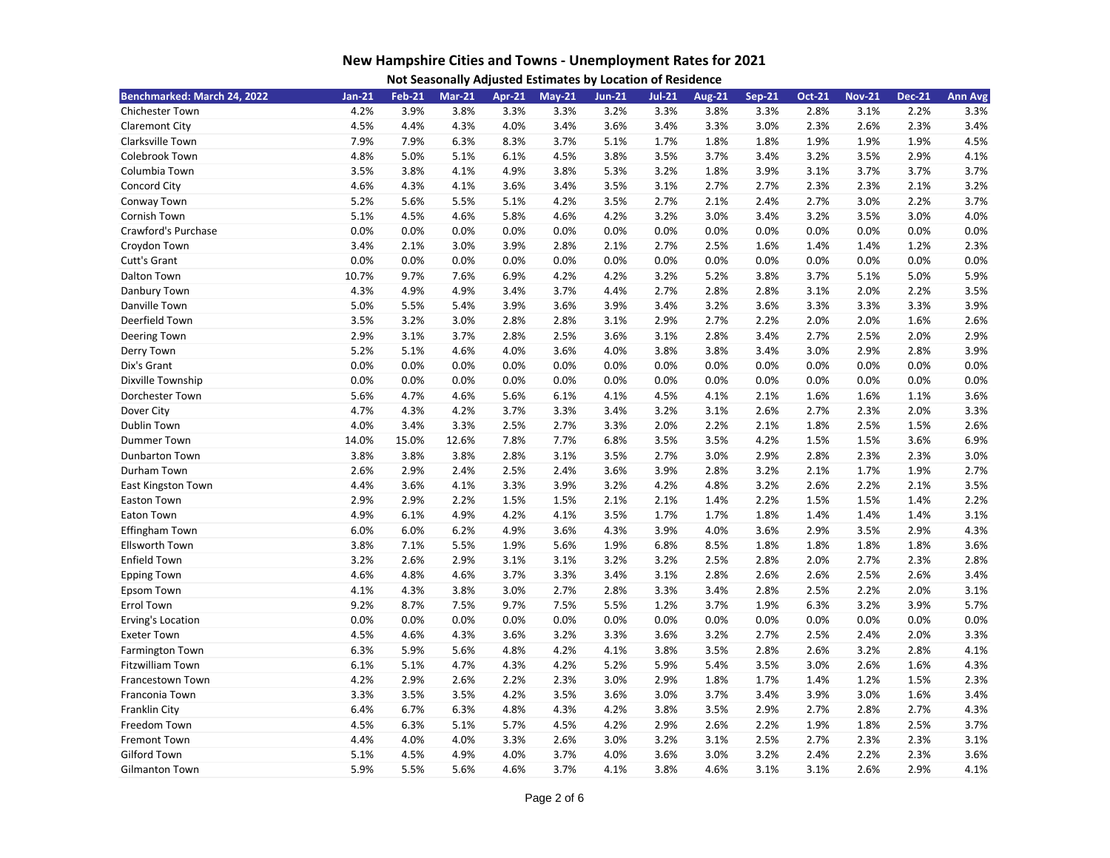| Not Seasonally Adjusted Estimates by Location of Residence |  |  |
|------------------------------------------------------------|--|--|
|------------------------------------------------------------|--|--|

| Benchmarked: March 24, 2022 | $Jan-21$ | <b>Feb-21</b> | <b>Mar-21</b> | <b>Apr-21</b> | $May-21$ | <b>Jun-21</b> | $Jul-21$ | <b>Aug-21</b> | <b>Sep-21</b> | <b>Oct-21</b> | <b>Nov-21</b> | <b>Dec-21</b> | <b>Ann Avg</b> |
|-----------------------------|----------|---------------|---------------|---------------|----------|---------------|----------|---------------|---------------|---------------|---------------|---------------|----------------|
| <b>Chichester Town</b>      | 4.2%     | 3.9%          | 3.8%          | 3.3%          | 3.3%     | 3.2%          | 3.3%     | 3.8%          | 3.3%          | 2.8%          | 3.1%          | 2.2%          | 3.3%           |
| Claremont City              | 4.5%     | 4.4%          | 4.3%          | 4.0%          | 3.4%     | 3.6%          | 3.4%     | 3.3%          | 3.0%          | 2.3%          | 2.6%          | 2.3%          | 3.4%           |
| Clarksville Town            | 7.9%     | 7.9%          | 6.3%          | 8.3%          | 3.7%     | 5.1%          | 1.7%     | 1.8%          | 1.8%          | 1.9%          | 1.9%          | 1.9%          | 4.5%           |
| Colebrook Town              | 4.8%     | 5.0%          | 5.1%          | 6.1%          | 4.5%     | 3.8%          | 3.5%     | 3.7%          | 3.4%          | 3.2%          | 3.5%          | 2.9%          | 4.1%           |
| Columbia Town               | 3.5%     | 3.8%          | 4.1%          | 4.9%          | 3.8%     | 5.3%          | 3.2%     | 1.8%          | 3.9%          | 3.1%          | 3.7%          | 3.7%          | 3.7%           |
| Concord City                | 4.6%     | 4.3%          | 4.1%          | 3.6%          | 3.4%     | 3.5%          | 3.1%     | 2.7%          | 2.7%          | 2.3%          | 2.3%          | 2.1%          | 3.2%           |
| Conway Town                 | 5.2%     | 5.6%          | 5.5%          | 5.1%          | 4.2%     | 3.5%          | 2.7%     | 2.1%          | 2.4%          | 2.7%          | 3.0%          | 2.2%          | 3.7%           |
| Cornish Town                | 5.1%     | 4.5%          | 4.6%          | 5.8%          | 4.6%     | 4.2%          | 3.2%     | 3.0%          | 3.4%          | 3.2%          | 3.5%          | 3.0%          | 4.0%           |
| Crawford's Purchase         | 0.0%     | 0.0%          | 0.0%          | 0.0%          | 0.0%     | 0.0%          | 0.0%     | 0.0%          | 0.0%          | 0.0%          | 0.0%          | 0.0%          | 0.0%           |
| Croydon Town                | 3.4%     | 2.1%          | 3.0%          | 3.9%          | 2.8%     | 2.1%          | 2.7%     | 2.5%          | 1.6%          | 1.4%          | 1.4%          | 1.2%          | 2.3%           |
| Cutt's Grant                | 0.0%     | 0.0%          | 0.0%          | 0.0%          | 0.0%     | 0.0%          | 0.0%     | 0.0%          | 0.0%          | 0.0%          | 0.0%          | 0.0%          | 0.0%           |
| Dalton Town                 | 10.7%    | 9.7%          | 7.6%          | 6.9%          | 4.2%     | 4.2%          | 3.2%     | 5.2%          | 3.8%          | 3.7%          | 5.1%          | 5.0%          | 5.9%           |
| Danbury Town                | 4.3%     | 4.9%          | 4.9%          | 3.4%          | 3.7%     | 4.4%          | 2.7%     | 2.8%          | 2.8%          | 3.1%          | 2.0%          | 2.2%          | 3.5%           |
| Danville Town               | 5.0%     | 5.5%          | 5.4%          | 3.9%          | 3.6%     | 3.9%          | 3.4%     | 3.2%          | 3.6%          | 3.3%          | 3.3%          | 3.3%          | 3.9%           |
| Deerfield Town              | 3.5%     | 3.2%          | 3.0%          | 2.8%          | 2.8%     | 3.1%          | 2.9%     | 2.7%          | 2.2%          | 2.0%          | 2.0%          | 1.6%          | 2.6%           |
| Deering Town                | 2.9%     | 3.1%          | 3.7%          | 2.8%          | 2.5%     | 3.6%          | 3.1%     | 2.8%          | 3.4%          | 2.7%          | 2.5%          | 2.0%          | 2.9%           |
| Derry Town                  | 5.2%     | 5.1%          | 4.6%          | 4.0%          | 3.6%     | 4.0%          | 3.8%     | 3.8%          | 3.4%          | 3.0%          | 2.9%          | 2.8%          | 3.9%           |
| Dix's Grant                 | 0.0%     | 0.0%          | 0.0%          | 0.0%          | 0.0%     | 0.0%          | 0.0%     | 0.0%          | 0.0%          | 0.0%          | 0.0%          | 0.0%          | 0.0%           |
| Dixville Township           | 0.0%     | 0.0%          | 0.0%          | 0.0%          | 0.0%     | 0.0%          | 0.0%     | 0.0%          | 0.0%          | 0.0%          | 0.0%          | 0.0%          | 0.0%           |
| Dorchester Town             | 5.6%     | 4.7%          | 4.6%          | 5.6%          | 6.1%     | 4.1%          | 4.5%     | 4.1%          | 2.1%          | 1.6%          | 1.6%          | 1.1%          | 3.6%           |
| Dover City                  | 4.7%     | 4.3%          | 4.2%          | 3.7%          | 3.3%     | 3.4%          | 3.2%     | 3.1%          | 2.6%          | 2.7%          | 2.3%          | 2.0%          | 3.3%           |
| Dublin Town                 | 4.0%     | 3.4%          | 3.3%          | 2.5%          | 2.7%     | 3.3%          | 2.0%     | 2.2%          | 2.1%          | 1.8%          | 2.5%          | 1.5%          | 2.6%           |
| Dummer Town                 | 14.0%    | 15.0%         | 12.6%         | 7.8%          | 7.7%     | 6.8%          | 3.5%     | 3.5%          | 4.2%          | 1.5%          | 1.5%          | 3.6%          | 6.9%           |
| Dunbarton Town              | 3.8%     | 3.8%          | 3.8%          | 2.8%          | 3.1%     | 3.5%          | 2.7%     | 3.0%          | 2.9%          | 2.8%          | 2.3%          | 2.3%          | 3.0%           |
| Durham Town                 | 2.6%     | 2.9%          | 2.4%          | 2.5%          | 2.4%     | 3.6%          | 3.9%     | 2.8%          | 3.2%          | 2.1%          | 1.7%          | 1.9%          | 2.7%           |
| East Kingston Town          | 4.4%     | 3.6%          | 4.1%          | 3.3%          | 3.9%     | 3.2%          | 4.2%     | 4.8%          | 3.2%          | 2.6%          | 2.2%          | 2.1%          | 3.5%           |
| Easton Town                 | 2.9%     | 2.9%          | 2.2%          | 1.5%          | 1.5%     | 2.1%          | 2.1%     | 1.4%          | 2.2%          | 1.5%          | 1.5%          | 1.4%          | 2.2%           |
| Eaton Town                  | 4.9%     | 6.1%          | 4.9%          | 4.2%          | 4.1%     | 3.5%          | 1.7%     | 1.7%          | 1.8%          | 1.4%          | 1.4%          | 1.4%          | 3.1%           |
| Effingham Town              | 6.0%     | 6.0%          | 6.2%          | 4.9%          | 3.6%     | 4.3%          | 3.9%     | 4.0%          | 3.6%          | 2.9%          | 3.5%          | 2.9%          | 4.3%           |
| <b>Ellsworth Town</b>       | 3.8%     | 7.1%          | 5.5%          | 1.9%          | 5.6%     | 1.9%          | 6.8%     | 8.5%          | 1.8%          | 1.8%          | 1.8%          | 1.8%          | 3.6%           |
| <b>Enfield Town</b>         | 3.2%     | 2.6%          | 2.9%          | 3.1%          | 3.1%     | 3.2%          | 3.2%     | 2.5%          | 2.8%          | 2.0%          | 2.7%          | 2.3%          | 2.8%           |
| <b>Epping Town</b>          | 4.6%     | 4.8%          | 4.6%          | 3.7%          | 3.3%     | 3.4%          | 3.1%     | 2.8%          | 2.6%          | 2.6%          | 2.5%          | 2.6%          | 3.4%           |
| Epsom Town                  | 4.1%     | 4.3%          | 3.8%          | 3.0%          | 2.7%     | 2.8%          | 3.3%     | 3.4%          | 2.8%          | 2.5%          | 2.2%          | 2.0%          | 3.1%           |
| <b>Errol Town</b>           | 9.2%     | 8.7%          | 7.5%          | 9.7%          | 7.5%     | 5.5%          | 1.2%     | 3.7%          | 1.9%          | 6.3%          | 3.2%          | 3.9%          | 5.7%           |
| Erving's Location           | 0.0%     | 0.0%          | 0.0%          | 0.0%          | 0.0%     | 0.0%          | 0.0%     | 0.0%          | 0.0%          | 0.0%          | 0.0%          | 0.0%          | 0.0%           |
| <b>Exeter Town</b>          | 4.5%     | 4.6%          | 4.3%          | 3.6%          | 3.2%     | 3.3%          | 3.6%     | 3.2%          | 2.7%          | 2.5%          | 2.4%          | 2.0%          | 3.3%           |
| Farmington Town             | 6.3%     | 5.9%          | 5.6%          | 4.8%          | 4.2%     | 4.1%          | 3.8%     | 3.5%          | 2.8%          | 2.6%          | 3.2%          | 2.8%          | 4.1%           |
| <b>Fitzwilliam Town</b>     | 6.1%     | 5.1%          | 4.7%          | 4.3%          | 4.2%     | 5.2%          | 5.9%     | 5.4%          | 3.5%          | 3.0%          | 2.6%          | 1.6%          | 4.3%           |
| Francestown Town            | 4.2%     | 2.9%          | 2.6%          | 2.2%          | 2.3%     | 3.0%          | 2.9%     | 1.8%          | 1.7%          | 1.4%          | 1.2%          | 1.5%          | 2.3%           |
| Franconia Town              | 3.3%     | 3.5%          | 3.5%          | 4.2%          | 3.5%     | 3.6%          | 3.0%     | 3.7%          | 3.4%          | 3.9%          | 3.0%          | 1.6%          | 3.4%           |
| Franklin City               | 6.4%     | 6.7%          | 6.3%          | 4.8%          | 4.3%     | 4.2%          | 3.8%     | 3.5%          | 2.9%          | 2.7%          | 2.8%          | 2.7%          | 4.3%           |
| Freedom Town                | 4.5%     | 6.3%          | 5.1%          | 5.7%          | 4.5%     | 4.2%          | 2.9%     | 2.6%          | 2.2%          | 1.9%          | 1.8%          | 2.5%          | 3.7%           |
| Fremont Town                | 4.4%     | 4.0%          | 4.0%          | 3.3%          | 2.6%     | 3.0%          | 3.2%     | 3.1%          | 2.5%          | 2.7%          | 2.3%          | 2.3%          | 3.1%           |
| <b>Gilford Town</b>         | 5.1%     | 4.5%          | 4.9%          | 4.0%          | 3.7%     | 4.0%          | 3.6%     | 3.0%          | 3.2%          | 2.4%          | 2.2%          | 2.3%          | 3.6%           |
| Gilmanton Town              | 5.9%     | 5.5%          | 5.6%          | 4.6%          | 3.7%     | 4.1%          | 3.8%     | 4.6%          | 3.1%          | 3.1%          | 2.6%          | 2.9%          | 4.1%           |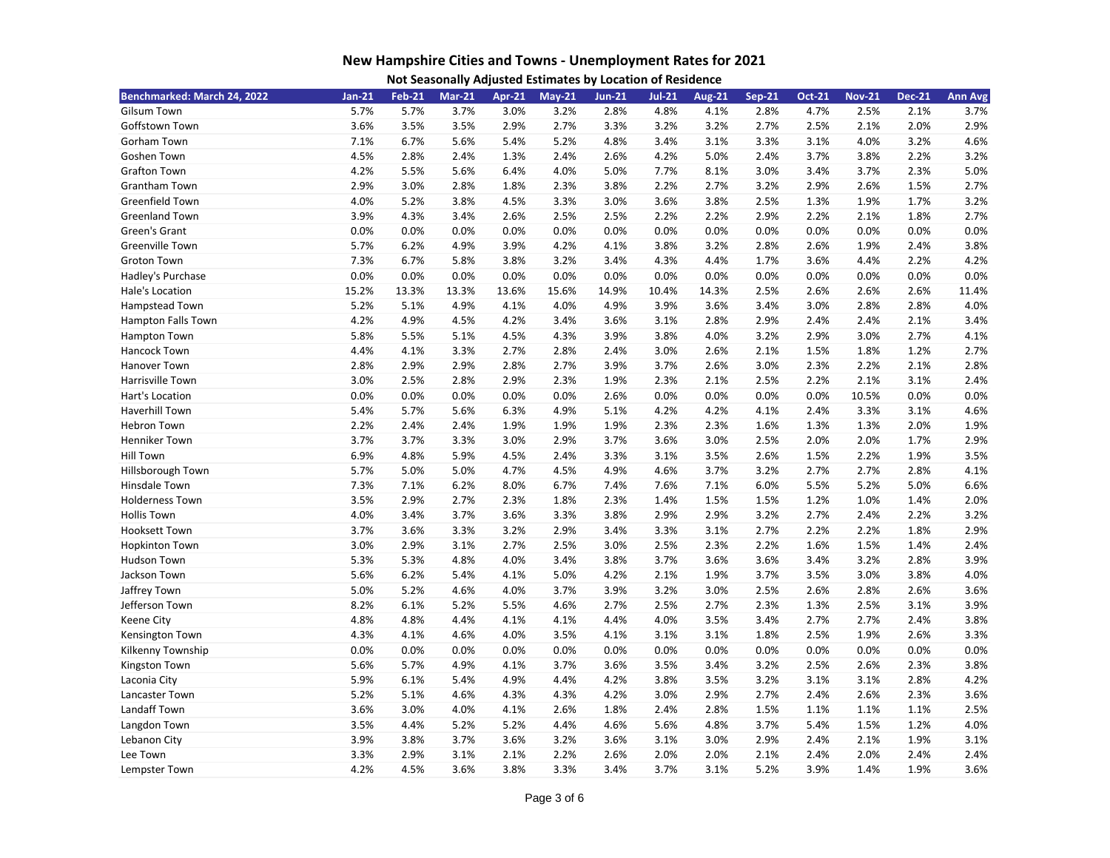| Not Seasonally Adjusted Estimates by Location of Residence |  |  |
|------------------------------------------------------------|--|--|
|------------------------------------------------------------|--|--|

| Benchmarked: March 24, 2022 | $Jan-21$ | <b>Feb-21</b> | <b>Mar-21</b> | <b>Apr-21</b> | $May-21$ | <b>Jun-21</b> | $Jul-21$ | <b>Aug-21</b> | <b>Sep-21</b> | <b>Oct-21</b> | <b>Nov-21</b> | <b>Dec-21</b> | <b>Ann Avg</b> |
|-----------------------------|----------|---------------|---------------|---------------|----------|---------------|----------|---------------|---------------|---------------|---------------|---------------|----------------|
| <b>Gilsum Town</b>          | 5.7%     | 5.7%          | 3.7%          | 3.0%          | 3.2%     | 2.8%          | 4.8%     | 4.1%          | 2.8%          | 4.7%          | 2.5%          | 2.1%          | 3.7%           |
| Goffstown Town              | 3.6%     | 3.5%          | 3.5%          | 2.9%          | 2.7%     | 3.3%          | 3.2%     | 3.2%          | 2.7%          | 2.5%          | 2.1%          | 2.0%          | 2.9%           |
| Gorham Town                 | 7.1%     | 6.7%          | 5.6%          | 5.4%          | 5.2%     | 4.8%          | 3.4%     | 3.1%          | 3.3%          | 3.1%          | 4.0%          | 3.2%          | 4.6%           |
| Goshen Town                 | 4.5%     | 2.8%          | 2.4%          | 1.3%          | 2.4%     | 2.6%          | 4.2%     | 5.0%          | 2.4%          | 3.7%          | 3.8%          | 2.2%          | 3.2%           |
| <b>Grafton Town</b>         | 4.2%     | 5.5%          | 5.6%          | 6.4%          | 4.0%     | 5.0%          | 7.7%     | 8.1%          | 3.0%          | 3.4%          | 3.7%          | 2.3%          | 5.0%           |
| Grantham Town               | 2.9%     | 3.0%          | 2.8%          | 1.8%          | 2.3%     | 3.8%          | 2.2%     | 2.7%          | 3.2%          | 2.9%          | 2.6%          | 1.5%          | 2.7%           |
| Greenfield Town             | 4.0%     | 5.2%          | 3.8%          | 4.5%          | 3.3%     | 3.0%          | 3.6%     | 3.8%          | 2.5%          | 1.3%          | 1.9%          | 1.7%          | 3.2%           |
| <b>Greenland Town</b>       | 3.9%     | 4.3%          | 3.4%          | 2.6%          | 2.5%     | 2.5%          | 2.2%     | 2.2%          | 2.9%          | 2.2%          | 2.1%          | 1.8%          | 2.7%           |
| Green's Grant               | 0.0%     | 0.0%          | 0.0%          | 0.0%          | 0.0%     | 0.0%          | 0.0%     | 0.0%          | 0.0%          | 0.0%          | 0.0%          | 0.0%          | 0.0%           |
| Greenville Town             | 5.7%     | 6.2%          | 4.9%          | 3.9%          | 4.2%     | 4.1%          | 3.8%     | 3.2%          | 2.8%          | 2.6%          | 1.9%          | 2.4%          | 3.8%           |
| Groton Town                 | 7.3%     | 6.7%          | 5.8%          | 3.8%          | 3.2%     | 3.4%          | 4.3%     | 4.4%          | 1.7%          | 3.6%          | 4.4%          | 2.2%          | 4.2%           |
| Hadley's Purchase           | 0.0%     | 0.0%          | 0.0%          | 0.0%          | 0.0%     | 0.0%          | 0.0%     | 0.0%          | 0.0%          | 0.0%          | 0.0%          | 0.0%          | 0.0%           |
| Hale's Location             | 15.2%    | 13.3%         | 13.3%         | 13.6%         | 15.6%    | 14.9%         | 10.4%    | 14.3%         | 2.5%          | 2.6%          | 2.6%          | 2.6%          | 11.4%          |
| <b>Hampstead Town</b>       | 5.2%     | 5.1%          | 4.9%          | 4.1%          | 4.0%     | 4.9%          | 3.9%     | 3.6%          | 3.4%          | 3.0%          | 2.8%          | 2.8%          | 4.0%           |
| Hampton Falls Town          | 4.2%     | 4.9%          | 4.5%          | 4.2%          | 3.4%     | 3.6%          | 3.1%     | 2.8%          | 2.9%          | 2.4%          | 2.4%          | 2.1%          | 3.4%           |
| Hampton Town                | 5.8%     | 5.5%          | 5.1%          | 4.5%          | 4.3%     | 3.9%          | 3.8%     | 4.0%          | 3.2%          | 2.9%          | 3.0%          | 2.7%          | 4.1%           |
| Hancock Town                | 4.4%     | 4.1%          | 3.3%          | 2.7%          | 2.8%     | 2.4%          | 3.0%     | 2.6%          | 2.1%          | 1.5%          | 1.8%          | 1.2%          | 2.7%           |
| Hanover Town                | 2.8%     | 2.9%          | 2.9%          | 2.8%          | 2.7%     | 3.9%          | 3.7%     | 2.6%          | 3.0%          | 2.3%          | 2.2%          | 2.1%          | 2.8%           |
| Harrisville Town            | 3.0%     | 2.5%          | 2.8%          | 2.9%          | 2.3%     | 1.9%          | 2.3%     | 2.1%          | 2.5%          | 2.2%          | 2.1%          | 3.1%          | 2.4%           |
| Hart's Location             | 0.0%     | 0.0%          | 0.0%          | 0.0%          | 0.0%     | 2.6%          | 0.0%     | 0.0%          | 0.0%          | 0.0%          | 10.5%         | 0.0%          | 0.0%           |
| <b>Haverhill Town</b>       | 5.4%     | 5.7%          | 5.6%          | 6.3%          | 4.9%     | 5.1%          | 4.2%     | 4.2%          | 4.1%          | 2.4%          | 3.3%          | 3.1%          | 4.6%           |
| <b>Hebron Town</b>          | 2.2%     | 2.4%          | 2.4%          | 1.9%          | 1.9%     | 1.9%          | 2.3%     | 2.3%          | 1.6%          | 1.3%          | 1.3%          | 2.0%          | 1.9%           |
| Henniker Town               | 3.7%     | 3.7%          | 3.3%          | 3.0%          | 2.9%     | 3.7%          | 3.6%     | 3.0%          | 2.5%          | 2.0%          | 2.0%          | 1.7%          | 2.9%           |
| <b>Hill Town</b>            | 6.9%     | 4.8%          | 5.9%          | 4.5%          | 2.4%     | 3.3%          | 3.1%     | 3.5%          | 2.6%          | 1.5%          | 2.2%          | 1.9%          | 3.5%           |
| Hillsborough Town           | 5.7%     | 5.0%          | 5.0%          | 4.7%          | 4.5%     | 4.9%          | 4.6%     | 3.7%          | 3.2%          | 2.7%          | 2.7%          | 2.8%          | 4.1%           |
| Hinsdale Town               | 7.3%     | 7.1%          | 6.2%          | 8.0%          | 6.7%     | 7.4%          | 7.6%     | 7.1%          | 6.0%          | 5.5%          | 5.2%          | 5.0%          | 6.6%           |
| <b>Holderness Town</b>      | 3.5%     | 2.9%          | 2.7%          | 2.3%          | 1.8%     | 2.3%          | 1.4%     | 1.5%          | 1.5%          | 1.2%          | 1.0%          | 1.4%          | 2.0%           |
| <b>Hollis Town</b>          | 4.0%     | 3.4%          | 3.7%          | 3.6%          | 3.3%     | 3.8%          | 2.9%     | 2.9%          | 3.2%          | 2.7%          | 2.4%          | 2.2%          | 3.2%           |
| <b>Hooksett Town</b>        | 3.7%     | 3.6%          | 3.3%          | 3.2%          | 2.9%     | 3.4%          | 3.3%     | 3.1%          | 2.7%          | 2.2%          | 2.2%          | 1.8%          | 2.9%           |
| <b>Hopkinton Town</b>       | 3.0%     | 2.9%          | 3.1%          | 2.7%          | 2.5%     | 3.0%          | 2.5%     | 2.3%          | 2.2%          | 1.6%          | 1.5%          | 1.4%          | 2.4%           |
| Hudson Town                 | 5.3%     | 5.3%          | 4.8%          | 4.0%          | 3.4%     | 3.8%          | 3.7%     | 3.6%          | 3.6%          | 3.4%          | 3.2%          | 2.8%          | 3.9%           |
| Jackson Town                | 5.6%     | 6.2%          | 5.4%          | 4.1%          | 5.0%     | 4.2%          | 2.1%     | 1.9%          | 3.7%          | 3.5%          | 3.0%          | 3.8%          | 4.0%           |
| Jaffrey Town                | 5.0%     | 5.2%          | 4.6%          | 4.0%          | 3.7%     | 3.9%          | 3.2%     | 3.0%          | 2.5%          | 2.6%          | 2.8%          | 2.6%          | 3.6%           |
| Jefferson Town              | 8.2%     | 6.1%          | 5.2%          | 5.5%          | 4.6%     | 2.7%          | 2.5%     | 2.7%          | 2.3%          | 1.3%          | 2.5%          | 3.1%          | 3.9%           |
| <b>Keene City</b>           | 4.8%     | 4.8%          | 4.4%          | 4.1%          | 4.1%     | 4.4%          | 4.0%     | 3.5%          | 3.4%          | 2.7%          | 2.7%          | 2.4%          | 3.8%           |
| Kensington Town             | 4.3%     | 4.1%          | 4.6%          | 4.0%          | 3.5%     | 4.1%          | 3.1%     | 3.1%          | 1.8%          | 2.5%          | 1.9%          | 2.6%          | 3.3%           |
| Kilkenny Township           | 0.0%     | 0.0%          | 0.0%          | 0.0%          | 0.0%     | 0.0%          | 0.0%     | 0.0%          | 0.0%          | 0.0%          | 0.0%          | 0.0%          | 0.0%           |
| Kingston Town               | 5.6%     | 5.7%          | 4.9%          | 4.1%          | 3.7%     | 3.6%          | 3.5%     | 3.4%          | 3.2%          | 2.5%          | 2.6%          | 2.3%          | 3.8%           |
| Laconia City                | 5.9%     | 6.1%          | 5.4%          | 4.9%          | 4.4%     | 4.2%          | 3.8%     | 3.5%          | 3.2%          | 3.1%          | 3.1%          | 2.8%          | 4.2%           |
| Lancaster Town              | 5.2%     | 5.1%          | 4.6%          | 4.3%          | 4.3%     | 4.2%          | 3.0%     | 2.9%          | 2.7%          | 2.4%          | 2.6%          | 2.3%          | 3.6%           |
| Landaff Town                | 3.6%     | 3.0%          | 4.0%          | 4.1%          | 2.6%     | 1.8%          | 2.4%     | 2.8%          | 1.5%          | 1.1%          | 1.1%          | 1.1%          | 2.5%           |
| Langdon Town                | 3.5%     | 4.4%          | 5.2%          | 5.2%          | 4.4%     | 4.6%          | 5.6%     | 4.8%          | 3.7%          | 5.4%          | 1.5%          | 1.2%          | 4.0%           |
| Lebanon City                | 3.9%     | 3.8%          | 3.7%          | 3.6%          | 3.2%     | 3.6%          | 3.1%     | 3.0%          | 2.9%          | 2.4%          | 2.1%          | 1.9%          | 3.1%           |
| Lee Town                    | 3.3%     | 2.9%          | 3.1%          | 2.1%          | 2.2%     | 2.6%          | 2.0%     | 2.0%          | 2.1%          | 2.4%          | 2.0%          | 2.4%          | 2.4%           |
| Lempster Town               | 4.2%     | 4.5%          | 3.6%          | 3.8%          | 3.3%     | 3.4%          | 3.7%     | 3.1%          | 5.2%          | 3.9%          | 1.4%          | 1.9%          | 3.6%           |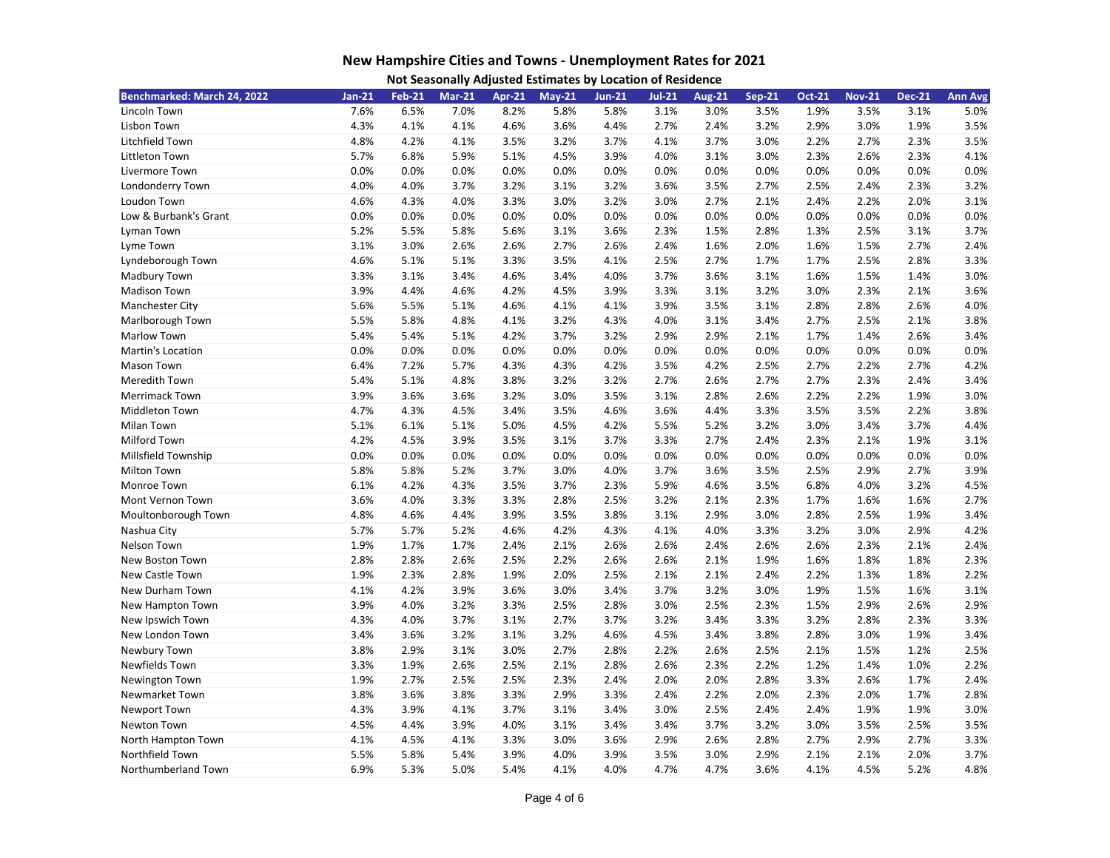| Benchmarked: March 24, 2022 | $Jan-21$ | <b>Feb-21</b> | <b>Mar-21</b> | <b>Apr-21</b> | $May-21$ | <b>Jun-21</b> | $Jul-21$ | <b>Aug-21</b> | <b>Sep-21</b> | <b>Oct-21</b> | <b>Nov-21</b> | <b>Dec-21</b> | <b>Ann Avg</b> |
|-----------------------------|----------|---------------|---------------|---------------|----------|---------------|----------|---------------|---------------|---------------|---------------|---------------|----------------|
| Lincoln Town                | 7.6%     | 6.5%          | 7.0%          | 8.2%          | 5.8%     | 5.8%          | 3.1%     | 3.0%          | 3.5%          | 1.9%          | 3.5%          | 3.1%          | 5.0%           |
| Lisbon Town                 | 4.3%     | 4.1%          | 4.1%          | 4.6%          | 3.6%     | 4.4%          | 2.7%     | 2.4%          | 3.2%          | 2.9%          | 3.0%          | 1.9%          | 3.5%           |
| Litchfield Town             | 4.8%     | 4.2%          | 4.1%          | 3.5%          | 3.2%     | 3.7%          | 4.1%     | 3.7%          | 3.0%          | 2.2%          | 2.7%          | 2.3%          | 3.5%           |
| Littleton Town              | 5.7%     | 6.8%          | 5.9%          | 5.1%          | 4.5%     | 3.9%          | 4.0%     | 3.1%          | 3.0%          | 2.3%          | 2.6%          | 2.3%          | 4.1%           |
| Livermore Town              | 0.0%     | 0.0%          | 0.0%          | 0.0%          | 0.0%     | 0.0%          | 0.0%     | 0.0%          | 0.0%          | 0.0%          | 0.0%          | 0.0%          | 0.0%           |
| Londonderry Town            | 4.0%     | 4.0%          | 3.7%          | 3.2%          | 3.1%     | 3.2%          | 3.6%     | 3.5%          | 2.7%          | 2.5%          | 2.4%          | 2.3%          | 3.2%           |
| Loudon Town                 | 4.6%     | 4.3%          | 4.0%          | 3.3%          | 3.0%     | 3.2%          | 3.0%     | 2.7%          | 2.1%          | 2.4%          | 2.2%          | 2.0%          | 3.1%           |
| Low & Burbank's Grant       | 0.0%     | 0.0%          | 0.0%          | 0.0%          | 0.0%     | 0.0%          | 0.0%     | 0.0%          | 0.0%          | 0.0%          | 0.0%          | 0.0%          | 0.0%           |
| Lyman Town                  | 5.2%     | 5.5%          | 5.8%          | 5.6%          | 3.1%     | 3.6%          | 2.3%     | 1.5%          | 2.8%          | 1.3%          | 2.5%          | 3.1%          | 3.7%           |
| Lyme Town                   | 3.1%     | 3.0%          | 2.6%          | 2.6%          | 2.7%     | 2.6%          | 2.4%     | 1.6%          | 2.0%          | 1.6%          | 1.5%          | 2.7%          | 2.4%           |
| Lyndeborough Town           | 4.6%     | 5.1%          | 5.1%          | 3.3%          | 3.5%     | 4.1%          | 2.5%     | 2.7%          | 1.7%          | 1.7%          | 2.5%          | 2.8%          | 3.3%           |
| Madbury Town                | 3.3%     | 3.1%          | 3.4%          | 4.6%          | 3.4%     | 4.0%          | 3.7%     | 3.6%          | 3.1%          | 1.6%          | 1.5%          | 1.4%          | 3.0%           |
| <b>Madison Town</b>         | 3.9%     | 4.4%          | 4.6%          | 4.2%          | 4.5%     | 3.9%          | 3.3%     | 3.1%          | 3.2%          | 3.0%          | 2.3%          | 2.1%          | 3.6%           |
| Manchester City             | 5.6%     | 5.5%          | 5.1%          | 4.6%          | 4.1%     | 4.1%          | 3.9%     | 3.5%          | 3.1%          | 2.8%          | 2.8%          | 2.6%          | 4.0%           |
| Marlborough Town            | 5.5%     | 5.8%          | 4.8%          | 4.1%          | 3.2%     | 4.3%          | 4.0%     | 3.1%          | 3.4%          | 2.7%          | 2.5%          | 2.1%          | 3.8%           |
| Marlow Town                 | 5.4%     | 5.4%          | 5.1%          | 4.2%          | 3.7%     | 3.2%          | 2.9%     | 2.9%          | 2.1%          | 1.7%          | 1.4%          | 2.6%          | 3.4%           |
| Martin's Location           | 0.0%     | 0.0%          | 0.0%          | 0.0%          | 0.0%     | 0.0%          | 0.0%     | 0.0%          | 0.0%          | 0.0%          | 0.0%          | 0.0%          | 0.0%           |
| Mason Town                  | 6.4%     | 7.2%          | 5.7%          | 4.3%          | 4.3%     | 4.2%          | 3.5%     | 4.2%          | 2.5%          | 2.7%          | 2.2%          | 2.7%          | 4.2%           |
| Meredith Town               | 5.4%     | 5.1%          | 4.8%          | 3.8%          | 3.2%     | 3.2%          | 2.7%     | 2.6%          | 2.7%          | 2.7%          | 2.3%          | 2.4%          | 3.4%           |
| <b>Merrimack Town</b>       | 3.9%     | 3.6%          | 3.6%          | 3.2%          | 3.0%     | 3.5%          | 3.1%     | 2.8%          | 2.6%          | 2.2%          | 2.2%          | 1.9%          | 3.0%           |
| <b>Middleton Town</b>       | 4.7%     | 4.3%          | 4.5%          | 3.4%          | 3.5%     | 4.6%          | 3.6%     | 4.4%          | 3.3%          | 3.5%          | 3.5%          | 2.2%          | 3.8%           |
| Milan Town                  | 5.1%     | 6.1%          | 5.1%          | 5.0%          | 4.5%     | 4.2%          | 5.5%     | 5.2%          | 3.2%          | 3.0%          | 3.4%          | 3.7%          | 4.4%           |
| Milford Town                | 4.2%     | 4.5%          | 3.9%          | 3.5%          | 3.1%     | 3.7%          | 3.3%     | 2.7%          | 2.4%          | 2.3%          | 2.1%          | 1.9%          | 3.1%           |
| Millsfield Township         | 0.0%     | 0.0%          | 0.0%          | 0.0%          | 0.0%     | 0.0%          | 0.0%     | 0.0%          | 0.0%          | 0.0%          | 0.0%          | 0.0%          | 0.0%           |
| <b>Milton Town</b>          | 5.8%     | 5.8%          | 5.2%          | 3.7%          | 3.0%     | 4.0%          | 3.7%     | 3.6%          | 3.5%          | 2.5%          | 2.9%          | 2.7%          | 3.9%           |
| Monroe Town                 | 6.1%     | 4.2%          | 4.3%          | 3.5%          | 3.7%     | 2.3%          | 5.9%     | 4.6%          | 3.5%          | 6.8%          | 4.0%          | 3.2%          | 4.5%           |
| Mont Vernon Town            | 3.6%     | 4.0%          | 3.3%          | 3.3%          | 2.8%     | 2.5%          | 3.2%     | 2.1%          | 2.3%          | 1.7%          | 1.6%          | 1.6%          | 2.7%           |
| Moultonborough Town         | 4.8%     | 4.6%          | 4.4%          | 3.9%          | 3.5%     | 3.8%          | 3.1%     | 2.9%          | 3.0%          | 2.8%          | 2.5%          | 1.9%          | 3.4%           |
| Nashua City                 | 5.7%     | 5.7%          | 5.2%          | 4.6%          | 4.2%     | 4.3%          | 4.1%     | 4.0%          | 3.3%          | 3.2%          | 3.0%          | 2.9%          | 4.2%           |
| Nelson Town                 | 1.9%     | 1.7%          | 1.7%          | 2.4%          | 2.1%     | 2.6%          | 2.6%     | 2.4%          | 2.6%          | 2.6%          | 2.3%          | 2.1%          | 2.4%           |
| New Boston Town             | 2.8%     | 2.8%          | 2.6%          | 2.5%          | 2.2%     | 2.6%          | 2.6%     | 2.1%          | 1.9%          | 1.6%          | 1.8%          | 1.8%          | 2.3%           |
| New Castle Town             | 1.9%     | 2.3%          | 2.8%          | 1.9%          | 2.0%     | 2.5%          | 2.1%     | 2.1%          | 2.4%          | 2.2%          | 1.3%          | 1.8%          | 2.2%           |
| New Durham Town             | 4.1%     | 4.2%          | 3.9%          | 3.6%          | 3.0%     | 3.4%          | 3.7%     | 3.2%          | 3.0%          | 1.9%          | 1.5%          | 1.6%          | 3.1%           |
| New Hampton Town            | 3.9%     | 4.0%          | 3.2%          | 3.3%          | 2.5%     | 2.8%          | 3.0%     | 2.5%          | 2.3%          | 1.5%          | 2.9%          | 2.6%          | 2.9%           |
| New Ipswich Town            | 4.3%     | 4.0%          | 3.7%          | 3.1%          | 2.7%     | 3.7%          | 3.2%     | 3.4%          | 3.3%          | 3.2%          | 2.8%          | 2.3%          | 3.3%           |
| New London Town             | 3.4%     | 3.6%          | 3.2%          | 3.1%          | 3.2%     | 4.6%          | 4.5%     | 3.4%          | 3.8%          | 2.8%          | 3.0%          | 1.9%          | 3.4%           |
| Newbury Town                | 3.8%     | 2.9%          | 3.1%          | 3.0%          | 2.7%     | 2.8%          | 2.2%     | 2.6%          | 2.5%          | 2.1%          | 1.5%          | 1.2%          | 2.5%           |
| Newfields Town              | 3.3%     | 1.9%          | 2.6%          | 2.5%          | 2.1%     | 2.8%          | 2.6%     | 2.3%          | 2.2%          | 1.2%          | 1.4%          | 1.0%          | 2.2%           |
| Newington Town              | 1.9%     | 2.7%          | 2.5%          | 2.5%          | 2.3%     | 2.4%          | 2.0%     | 2.0%          | 2.8%          | 3.3%          | 2.6%          | 1.7%          | 2.4%           |
| Newmarket Town              | 3.8%     | 3.6%          | 3.8%          | 3.3%          | 2.9%     | 3.3%          | 2.4%     | 2.2%          | 2.0%          | 2.3%          | 2.0%          | 1.7%          | 2.8%           |
| Newport Town                | 4.3%     | 3.9%          | 4.1%          | 3.7%          | 3.1%     | 3.4%          | 3.0%     | 2.5%          | 2.4%          | 2.4%          | 1.9%          | 1.9%          | 3.0%           |
| Newton Town                 | 4.5%     | 4.4%          | 3.9%          | 4.0%          | 3.1%     | 3.4%          | 3.4%     | 3.7%          | 3.2%          | 3.0%          | 3.5%          | 2.5%          | 3.5%           |
| North Hampton Town          | 4.1%     | 4.5%          | 4.1%          | 3.3%          | 3.0%     | 3.6%          | 2.9%     | 2.6%          | 2.8%          | 2.7%          | 2.9%          | 2.7%          | 3.3%           |
| Northfield Town             | 5.5%     | 5.8%          | 5.4%          | 3.9%          | 4.0%     | 3.9%          | 3.5%     | 3.0%          | 2.9%          | 2.1%          | 2.1%          | 2.0%          | 3.7%           |
| Northumberland Town         | 6.9%     | 5.3%          | 5.0%          | 5.4%          | 4.1%     | 4.0%          | 4.7%     | 4.7%          | 3.6%          | 4.1%          | 4.5%          | 5.2%          | 4.8%           |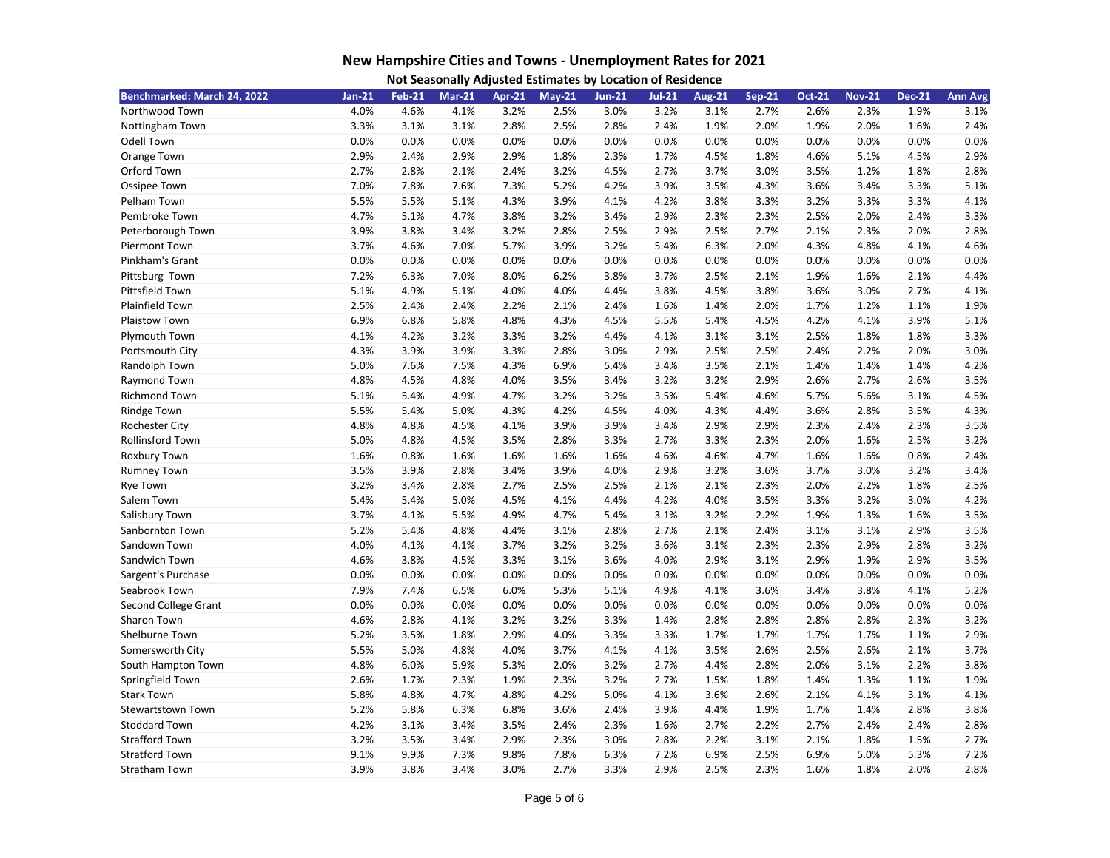| Not Seasonally Adjusted Estimates by Location of Residence |  |  |
|------------------------------------------------------------|--|--|
|------------------------------------------------------------|--|--|

| Benchmarked: March 24, 2022 | $Jan-21$ | <b>Feb-21</b> | <b>Mar-21</b> | <b>Apr-21</b> | $May-21$ | <b>Jun-21</b> | $Jul-21$ | <b>Aug-21</b> | <b>Sep-21</b> | <b>Oct-21</b> | <b>Nov-21</b> | <b>Dec-21</b> | <b>Ann Avg</b> |
|-----------------------------|----------|---------------|---------------|---------------|----------|---------------|----------|---------------|---------------|---------------|---------------|---------------|----------------|
| Northwood Town              | 4.0%     | 4.6%          | 4.1%          | 3.2%          | 2.5%     | 3.0%          | 3.2%     | 3.1%          | 2.7%          | 2.6%          | 2.3%          | 1.9%          | 3.1%           |
| Nottingham Town             | 3.3%     | 3.1%          | 3.1%          | 2.8%          | 2.5%     | 2.8%          | 2.4%     | 1.9%          | 2.0%          | 1.9%          | 2.0%          | 1.6%          | 2.4%           |
| Odell Town                  | 0.0%     | 0.0%          | 0.0%          | 0.0%          | 0.0%     | 0.0%          | 0.0%     | 0.0%          | 0.0%          | 0.0%          | 0.0%          | 0.0%          | 0.0%           |
| Orange Town                 | 2.9%     | 2.4%          | 2.9%          | 2.9%          | 1.8%     | 2.3%          | 1.7%     | 4.5%          | 1.8%          | 4.6%          | 5.1%          | 4.5%          | 2.9%           |
| Orford Town                 | 2.7%     | 2.8%          | 2.1%          | 2.4%          | 3.2%     | 4.5%          | 2.7%     | 3.7%          | 3.0%          | 3.5%          | 1.2%          | 1.8%          | 2.8%           |
| Ossipee Town                | 7.0%     | 7.8%          | 7.6%          | 7.3%          | 5.2%     | 4.2%          | 3.9%     | 3.5%          | 4.3%          | 3.6%          | 3.4%          | 3.3%          | 5.1%           |
| Pelham Town                 | 5.5%     | 5.5%          | 5.1%          | 4.3%          | 3.9%     | 4.1%          | 4.2%     | 3.8%          | 3.3%          | 3.2%          | 3.3%          | 3.3%          | 4.1%           |
| Pembroke Town               | 4.7%     | 5.1%          | 4.7%          | 3.8%          | 3.2%     | 3.4%          | 2.9%     | 2.3%          | 2.3%          | 2.5%          | 2.0%          | 2.4%          | 3.3%           |
| Peterborough Town           | 3.9%     | 3.8%          | 3.4%          | 3.2%          | 2.8%     | 2.5%          | 2.9%     | 2.5%          | 2.7%          | 2.1%          | 2.3%          | 2.0%          | 2.8%           |
| Piermont Town               | 3.7%     | 4.6%          | 7.0%          | 5.7%          | 3.9%     | 3.2%          | 5.4%     | 6.3%          | 2.0%          | 4.3%          | 4.8%          | 4.1%          | 4.6%           |
| Pinkham's Grant             | 0.0%     | 0.0%          | 0.0%          | 0.0%          | 0.0%     | 0.0%          | 0.0%     | 0.0%          | 0.0%          | 0.0%          | 0.0%          | 0.0%          | 0.0%           |
| Pittsburg Town              | 7.2%     | 6.3%          | 7.0%          | 8.0%          | 6.2%     | 3.8%          | 3.7%     | 2.5%          | 2.1%          | 1.9%          | 1.6%          | 2.1%          | 4.4%           |
| Pittsfield Town             | 5.1%     | 4.9%          | 5.1%          | 4.0%          | 4.0%     | 4.4%          | 3.8%     | 4.5%          | 3.8%          | 3.6%          | 3.0%          | 2.7%          | 4.1%           |
| Plainfield Town             | 2.5%     | 2.4%          | 2.4%          | 2.2%          | 2.1%     | 2.4%          | 1.6%     | 1.4%          | 2.0%          | 1.7%          | 1.2%          | 1.1%          | 1.9%           |
| Plaistow Town               | 6.9%     | 6.8%          | 5.8%          | 4.8%          | 4.3%     | 4.5%          | 5.5%     | 5.4%          | 4.5%          | 4.2%          | 4.1%          | 3.9%          | 5.1%           |
| Plymouth Town               | 4.1%     | 4.2%          | 3.2%          | 3.3%          | 3.2%     | 4.4%          | 4.1%     | 3.1%          | 3.1%          | 2.5%          | 1.8%          | 1.8%          | 3.3%           |
| Portsmouth City             | 4.3%     | 3.9%          | 3.9%          | 3.3%          | 2.8%     | 3.0%          | 2.9%     | 2.5%          | 2.5%          | 2.4%          | 2.2%          | 2.0%          | 3.0%           |
| Randolph Town               | 5.0%     | 7.6%          | 7.5%          | 4.3%          | 6.9%     | 5.4%          | 3.4%     | 3.5%          | 2.1%          | 1.4%          | 1.4%          | 1.4%          | 4.2%           |
| Raymond Town                | 4.8%     | 4.5%          | 4.8%          | 4.0%          | 3.5%     | 3.4%          | 3.2%     | 3.2%          | 2.9%          | 2.6%          | 2.7%          | 2.6%          | 3.5%           |
| <b>Richmond Town</b>        | 5.1%     | 5.4%          | 4.9%          | 4.7%          | 3.2%     | 3.2%          | 3.5%     | 5.4%          | 4.6%          | 5.7%          | 5.6%          | 3.1%          | 4.5%           |
| <b>Rindge Town</b>          | 5.5%     | 5.4%          | 5.0%          | 4.3%          | 4.2%     | 4.5%          | 4.0%     | 4.3%          | 4.4%          | 3.6%          | 2.8%          | 3.5%          | 4.3%           |
| Rochester City              | 4.8%     | 4.8%          | 4.5%          | 4.1%          | 3.9%     | 3.9%          | 3.4%     | 2.9%          | 2.9%          | 2.3%          | 2.4%          | 2.3%          | 3.5%           |
| Rollinsford Town            | 5.0%     | 4.8%          | 4.5%          | 3.5%          | 2.8%     | 3.3%          | 2.7%     | 3.3%          | 2.3%          | 2.0%          | 1.6%          | 2.5%          | 3.2%           |
| Roxbury Town                | 1.6%     | 0.8%          | 1.6%          | 1.6%          | 1.6%     | 1.6%          | 4.6%     | 4.6%          | 4.7%          | 1.6%          | 1.6%          | 0.8%          | 2.4%           |
| <b>Rumney Town</b>          | 3.5%     | 3.9%          | 2.8%          | 3.4%          | 3.9%     | 4.0%          | 2.9%     | 3.2%          | 3.6%          | 3.7%          | 3.0%          | 3.2%          | 3.4%           |
| <b>Rye Town</b>             | 3.2%     | 3.4%          | 2.8%          | 2.7%          | 2.5%     | 2.5%          | 2.1%     | 2.1%          | 2.3%          | 2.0%          | 2.2%          | 1.8%          | 2.5%           |
| Salem Town                  | 5.4%     | 5.4%          | 5.0%          | 4.5%          | 4.1%     | 4.4%          | 4.2%     | 4.0%          | 3.5%          | 3.3%          | 3.2%          | 3.0%          | 4.2%           |
| Salisbury Town              | 3.7%     | 4.1%          | 5.5%          | 4.9%          | 4.7%     | 5.4%          | 3.1%     | 3.2%          | 2.2%          | 1.9%          | 1.3%          | 1.6%          | 3.5%           |
| Sanbornton Town             | 5.2%     | 5.4%          | 4.8%          | 4.4%          | 3.1%     | 2.8%          | 2.7%     | 2.1%          | 2.4%          | 3.1%          | 3.1%          | 2.9%          | 3.5%           |
| Sandown Town                | 4.0%     | 4.1%          | 4.1%          | 3.7%          | 3.2%     | 3.2%          | 3.6%     | 3.1%          | 2.3%          | 2.3%          | 2.9%          | 2.8%          | 3.2%           |
| Sandwich Town               | 4.6%     | 3.8%          | 4.5%          | 3.3%          | 3.1%     | 3.6%          | 4.0%     | 2.9%          | 3.1%          | 2.9%          | 1.9%          | 2.9%          | 3.5%           |
| Sargent's Purchase          | 0.0%     | 0.0%          | 0.0%          | 0.0%          | 0.0%     | 0.0%          | 0.0%     | 0.0%          | 0.0%          | 0.0%          | 0.0%          | 0.0%          | 0.0%           |
| Seabrook Town               | 7.9%     | 7.4%          | 6.5%          | 6.0%          | 5.3%     | 5.1%          | 4.9%     | 4.1%          | 3.6%          | 3.4%          | 3.8%          | 4.1%          | 5.2%           |
| Second College Grant        | 0.0%     | 0.0%          | 0.0%          | 0.0%          | 0.0%     | 0.0%          | 0.0%     | 0.0%          | 0.0%          | 0.0%          | 0.0%          | 0.0%          | 0.0%           |
| Sharon Town                 | 4.6%     | 2.8%          | 4.1%          | 3.2%          | 3.2%     | 3.3%          | 1.4%     | 2.8%          | 2.8%          | 2.8%          | 2.8%          | 2.3%          | 3.2%           |
| Shelburne Town              | 5.2%     | 3.5%          | 1.8%          | 2.9%          | 4.0%     | 3.3%          | 3.3%     | 1.7%          | 1.7%          | 1.7%          | 1.7%          | 1.1%          | 2.9%           |
| Somersworth City            | 5.5%     | 5.0%          | 4.8%          | 4.0%          | 3.7%     | 4.1%          | 4.1%     | 3.5%          | 2.6%          | 2.5%          | 2.6%          | 2.1%          | 3.7%           |
| South Hampton Town          | 4.8%     | 6.0%          | 5.9%          | 5.3%          | 2.0%     | 3.2%          | 2.7%     | 4.4%          | 2.8%          | 2.0%          | 3.1%          | 2.2%          | 3.8%           |
| Springfield Town            | 2.6%     | 1.7%          | 2.3%          | 1.9%          | 2.3%     | 3.2%          | 2.7%     | 1.5%          | 1.8%          | 1.4%          | 1.3%          | 1.1%          | 1.9%           |
| <b>Stark Town</b>           | 5.8%     | 4.8%          | 4.7%          | 4.8%          | 4.2%     | 5.0%          | 4.1%     | 3.6%          | 2.6%          | 2.1%          | 4.1%          | 3.1%          | 4.1%           |
| Stewartstown Town           | 5.2%     | 5.8%          | 6.3%          | 6.8%          | 3.6%     | 2.4%          | 3.9%     | 4.4%          | 1.9%          | 1.7%          | 1.4%          | 2.8%          | 3.8%           |
| <b>Stoddard Town</b>        | 4.2%     | 3.1%          | 3.4%          | 3.5%          | 2.4%     | 2.3%          | 1.6%     | 2.7%          | 2.2%          | 2.7%          | 2.4%          | 2.4%          | 2.8%           |
| <b>Strafford Town</b>       | 3.2%     | 3.5%          | 3.4%          | 2.9%          | 2.3%     | 3.0%          | 2.8%     | 2.2%          | 3.1%          | 2.1%          | 1.8%          | 1.5%          | 2.7%           |
| <b>Stratford Town</b>       | 9.1%     | 9.9%          | 7.3%          | 9.8%          | 7.8%     | 6.3%          | 7.2%     | 6.9%          | 2.5%          | 6.9%          | 5.0%          | 5.3%          | 7.2%           |
| <b>Stratham Town</b>        | 3.9%     | 3.8%          | 3.4%          | 3.0%          | 2.7%     | 3.3%          | 2.9%     | 2.5%          | 2.3%          | 1.6%          | 1.8%          | 2.0%          | 2.8%           |